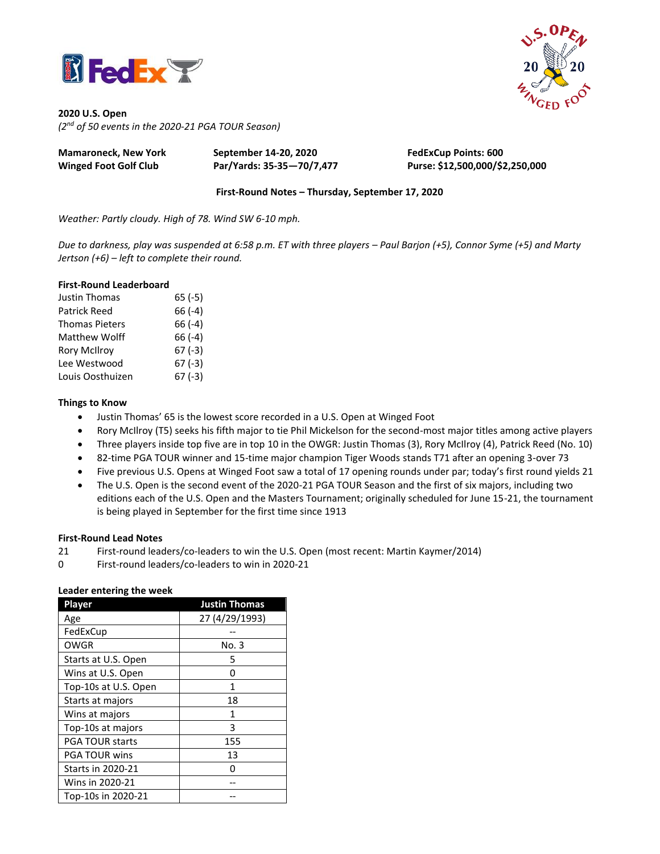

**2020 U.S. Open** *(2 nd of 50 events in the 2020-21 PGA TOUR Season)*

| Mamaroneck, New York         | September 14-20, 2020     | <b>FedExCup Points: 600</b>     |
|------------------------------|---------------------------|---------------------------------|
| <b>Winged Foot Golf Club</b> | Par/Yards: 35-35-70/7,477 | Purse: \$12,500,000/\$2,250,000 |

**First-Round Notes – Thursday, September 17, 2020**

*Weather: Partly cloudy. High of 78. Wind SW 6-10 mph.*

*Due to darkness, play was suspended at 6:58 p.m. ET with three players – Paul Barjon (+5), Connor Syme (+5) and Marty Jertson (+6) – left to complete their round.* 

### **First-Round Leaderboard**

| Justin Thomas         | $65(-5)$ |
|-----------------------|----------|
| <b>Patrick Reed</b>   | $66(-4)$ |
| <b>Thomas Pieters</b> | 66 (-4)  |
| Matthew Wolff         | $66(-4)$ |
| <b>Rory McIlroy</b>   | $67(-3)$ |
| Lee Westwood          | $67(-3)$ |
| Louis Oosthuizen      | $67(-3)$ |

### **Things to Know**

- Justin Thomas' 65 is the lowest score recorded in a U.S. Open at Winged Foot
- Rory McIlroy (T5) seeks his fifth major to tie Phil Mickelson for the second-most major titles among active players
- Three players inside top five are in top 10 in the OWGR: Justin Thomas (3), Rory McIlroy (4), Patrick Reed (No. 10)
- 82-time PGA TOUR winner and 15-time major champion Tiger Woods stands T71 after an opening 3-over 73
- Five previous U.S. Opens at Winged Foot saw a total of 17 opening rounds under par; today's first round yields 21
- The U.S. Open is the second event of the 2020-21 PGA TOUR Season and the first of six majors, including two editions each of the U.S. Open and the Masters Tournament; originally scheduled for June 15-21, the tournament is being played in September for the first time since 1913

### **First-Round Lead Notes**

- 21 First-round leaders/co-leaders to win the U.S. Open (most recent: Martin Kaymer/2014)
- 0 First-round leaders/co-leaders to win in 2020-21

### **Leader entering the week**

| Player                   | <b>Justin Thomas</b> |
|--------------------------|----------------------|
| Age                      | 27 (4/29/1993)       |
| FedExCup                 |                      |
| <b>OWGR</b>              | No. 3                |
| Starts at U.S. Open      | 5                    |
| Wins at U.S. Open        | 0                    |
| Top-10s at U.S. Open     | 1                    |
| Starts at majors         | 18                   |
| Wins at majors           | 1                    |
| Top-10s at majors        | 3                    |
| <b>PGA TOUR starts</b>   | 155                  |
| <b>PGA TOUR wins</b>     | 13                   |
| <b>Starts in 2020-21</b> |                      |
| Wins in 2020-21          |                      |
| Top-10s in 2020-21       |                      |